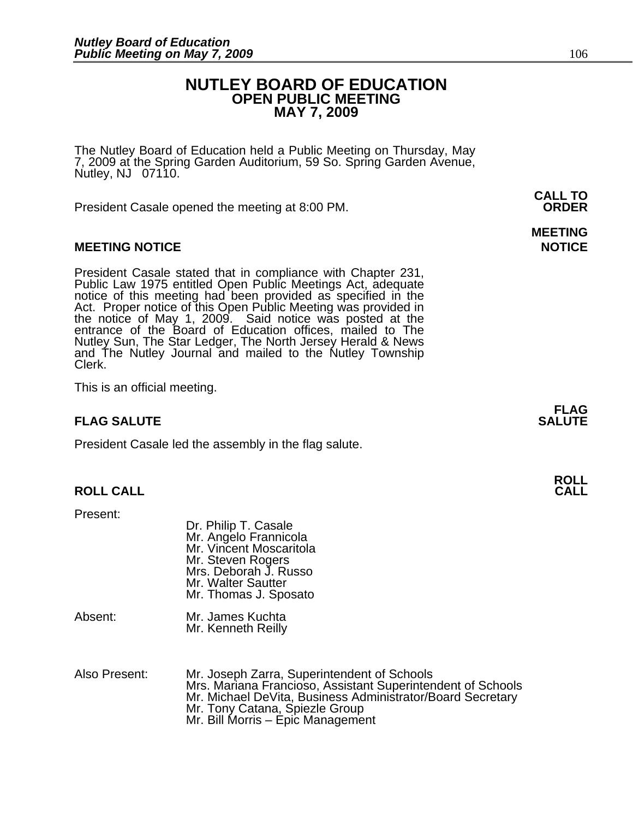#### **NUTLEY BOARD OF EDUCATION OPEN PUBLIC MEETING MAY 7, 2009**

The Nutley Board of Education held a Public Meeting on Thursday, May 7, 2009 at the Spring Garden Auditorium, 59 So. Spring Garden Avenue, Nutley, NJ 07110.

 **CALL TO**  President Casale opened the meeting at 8:00 PM. **ORDER**

#### **MEETING NOTICE NOTICE AND RESERVE ASSESS**

President Casale stated that in compliance with Chapter 231,<br>Public Law 1975 entitled Open Public Meetings Act, adequate<br>notice of this meeting had been provided as specified in the<br>Act. Proper notice of this Open Public M the notice of May 1, 2009. Said notice was posted at the<br>entrance of the Board of Education offices, mailed to The Nutley Sun, The Star Ledger, The North Jersey Herald & News and The Nutley Journal and mailed to the Nutley Township Clerk.

This is an official meeting.

#### **FLAG SALUTE** SALUTE

President Casale led the assembly in the flag salute.

#### **ROLL CALL CALL**

Present:

|         | Dr. Philip T. Casale<br>Mr. Angelo Frannicola<br>Mr. Vincent Moscaritola<br>Mr. Steven Rogers<br>Mrs. Deborah J. Russo<br>Mr. Walter Sautter<br>Mr. Thomas J. Sposato |
|---------|-----------------------------------------------------------------------------------------------------------------------------------------------------------------------|
| Absent: | Mr. James Kuchta<br>Mr. Kenneth Reilly                                                                                                                                |

| Also Present: | Mr. Joseph Zarra, Superintendent of Schools                 |
|---------------|-------------------------------------------------------------|
|               | Mrs. Mariana Francioso, Assistant Superintendent of Schools |
|               | Mr. Michael DeVita, Business Administrator/Board Secretary  |
|               | Mr. Tony Catana, Spiezle Group                              |
|               | Mr. Bill Morris – Epic Management                           |

# **MEETING**

**FLAG**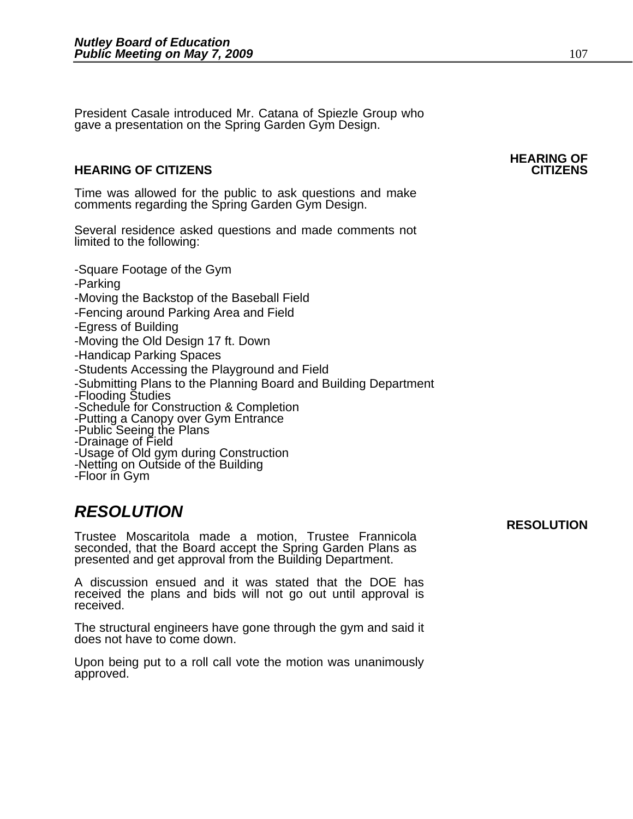President Casale introduced Mr. Catana of Spiezle Group who gave a presentation on the Spring Garden Gym Design.

#### **HEARING OF CITIZENS CITIZENS**

Time was allowed for the public to ask questions and make comments regarding the Spring Garden Gym Design.

Several residence asked questions and made comments not limited to the following:

-Square Footage of the Gym -Parking -Moving the Backstop of the Baseball Field -Fencing around Parking Area and Field -Egress of Building -Moving the Old Design 17 ft. Down -Handicap Parking Spaces -Students Accessing the Playground and Field -Submitting Plans to the Planning Board and Building Department -Flooding Studies -Schedule for Construction & Completion -Putting a Canopy over Gym Entrance -Public Seeing the Plans -Drainage of Field -Usage of Old gym during Construction -Netting on Outside of the Building -Floor in Gym

### *RESOLUTION*

Trustee Moscaritola made a motion, Trustee Frannicola presented and get approval from the Building Department.

A discussion ensued and it was stated that the DOE has received the plans and bids will not go out until approval is received.

The structural engineers have gone through the gym and said it does not have to come down.

Upon being put to a roll call vote the motion was unanimously approved.

#### **RESOLUTION**

## **HEARING OF**